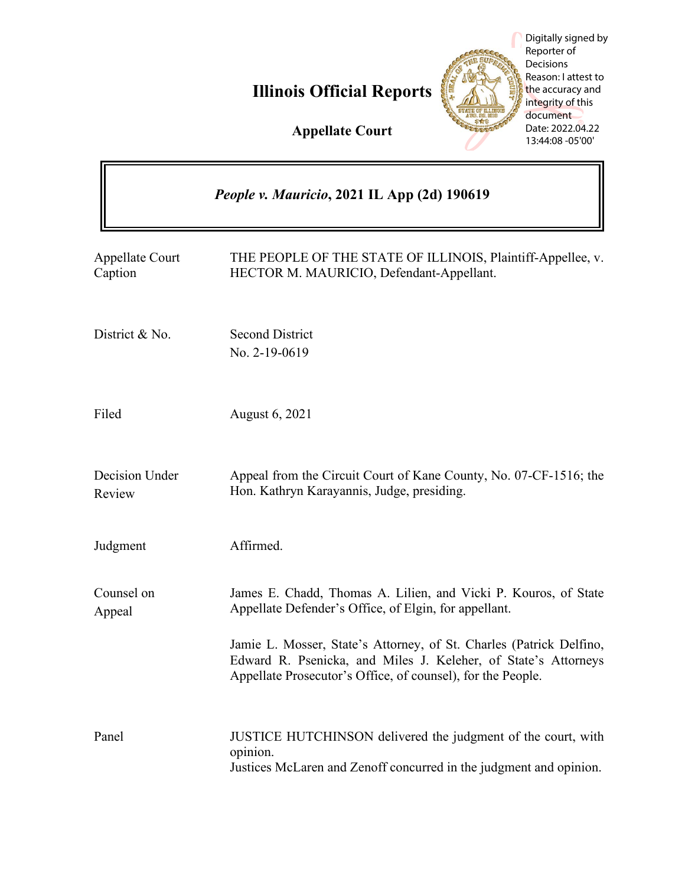

|                                                    | Digitally signed by<br>Reporter of<br>Decisions<br>Reason: I attest to<br><b>Illinois Official Reports</b><br>the accuracy and<br>integrity of this<br>document<br>Date: 2022.04.22<br><b>Appellate Court</b><br>13:44:08 -05'00' |
|----------------------------------------------------|-----------------------------------------------------------------------------------------------------------------------------------------------------------------------------------------------------------------------------------|
| <i>People v. Mauricio, 2021 IL App (2d) 190619</i> |                                                                                                                                                                                                                                   |
| <b>Appellate Court</b><br>Caption                  | THE PEOPLE OF THE STATE OF ILLINOIS, Plaintiff-Appellee, v.<br>HECTOR M. MAURICIO, Defendant-Appellant.                                                                                                                           |
| District & No.                                     | <b>Second District</b><br>No. 2-19-0619                                                                                                                                                                                           |
| Filed                                              | August 6, 2021                                                                                                                                                                                                                    |
| Decision Under<br>Review                           | Appeal from the Circuit Court of Kane County, No. 07-CF-1516; the<br>Hon. Kathryn Karayannis, Judge, presiding.                                                                                                                   |
| Judgment                                           | Affirmed.                                                                                                                                                                                                                         |
| Counsel on<br>Appeal                               | James E. Chadd, Thomas A. Lilien, and Vicki P. Kouros, of State<br>Appellate Defender's Office, of Elgin, for appellant.                                                                                                          |
|                                                    | Jamie L. Mosser, State's Attorney, of St. Charles (Patrick Delfino,<br>Edward R. Psenicka, and Miles J. Keleher, of State's Attorneys<br>Appellate Prosecutor's Office, of counsel), for the People.                              |
| Panel                                              | JUSTICE HUTCHINSON delivered the judgment of the court, with<br>opinion.<br>Justices McLaren and Zenoff concurred in the judgment and opinion.                                                                                    |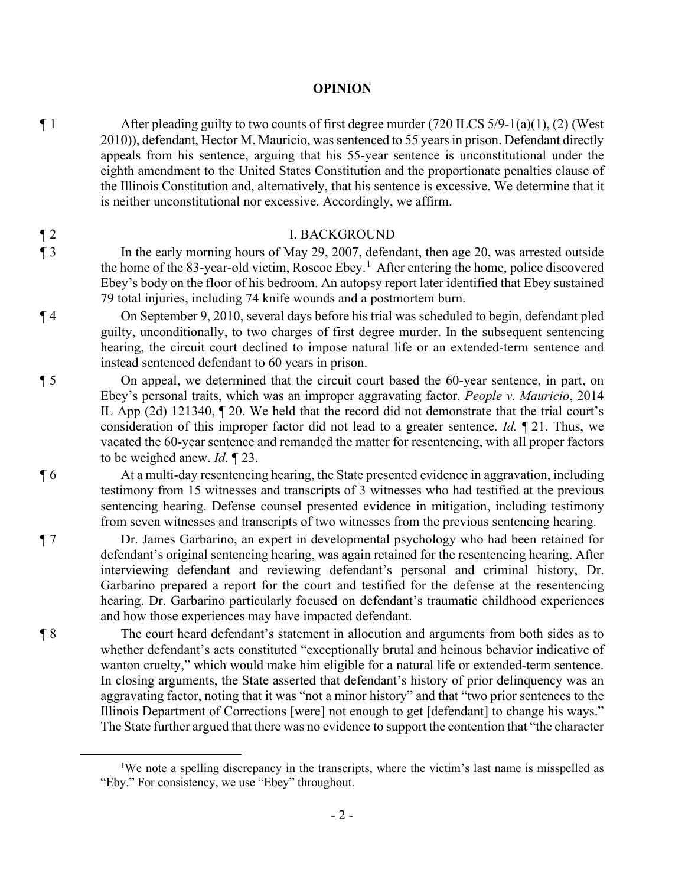### **OPINION**

 $\P 1$  After pleading guilty to two counts of first degree murder (720 ILCS 5/9-1(a)(1), (2) (West 2010)), defendant, Hector M. Mauricio, was sentenced to 55 years in prison. Defendant directly appeals from his sentence, arguing that his 55-year sentence is unconstitutional under the eighth amendment to the United States Constitution and the proportionate penalties clause of the Illinois Constitution and, alternatively, that his sentence is excessive. We determine that it is neither unconstitutional nor excessive. Accordingly, we affirm.

### ¶ 2 I. BACKGROUND

¶ 3 In the early morning hours of May 29, 2007, defendant, then age 20, was arrested outside the home of the 83-year-old victim, Roscoe Ebey.<sup>1</sup> After entering the home, police discovered Ebey's body on the floor of his bedroom. An autopsy report later identified that Ebey sustained 79 total injuries, including 74 knife wounds and a postmortem burn.

¶ 4 On September 9, 2010, several days before his trial was scheduled to begin, defendant pled guilty, unconditionally, to two charges of first degree murder. In the subsequent sentencing hearing, the circuit court declined to impose natural life or an extended-term sentence and instead sentenced defendant to 60 years in prison.

¶ 5 On appeal, we determined that the circuit court based the 60-year sentence, in part, on Ebey's personal traits, which was an improper aggravating factor. *People v. Mauricio*, 2014 IL App (2d) 121340, ¶ 20. We held that the record did not demonstrate that the trial court's consideration of this improper factor did not lead to a greater sentence. *Id.* ¶ 21. Thus, we vacated the 60-year sentence and remanded the matter for resentencing, with all proper factors to be weighed anew. *Id.* ¶ 23.

¶ 6 At a multi-day resentencing hearing, the State presented evidence in aggravation, including testimony from 15 witnesses and transcripts of 3 witnesses who had testified at the previous sentencing hearing. Defense counsel presented evidence in mitigation, including testimony from seven witnesses and transcripts of two witnesses from the previous sentencing hearing.

¶ 7 Dr. James Garbarino, an expert in developmental psychology who had been retained for defendant's original sentencing hearing, was again retained for the resentencing hearing. After interviewing defendant and reviewing defendant's personal and criminal history, Dr. Garbarino prepared a report for the court and testified for the defense at the resentencing hearing. Dr. Garbarino particularly focused on defendant's traumatic childhood experiences and how those experiences may have impacted defendant.

¶ 8 The court heard defendant's statement in allocution and arguments from both sides as to whether defendant's acts constituted "exceptionally brutal and heinous behavior indicative of wanton cruelty," which would make him eligible for a natural life or extended-term sentence. In closing arguments, the State asserted that defendant's history of prior delinquency was an aggravating factor, noting that it was "not a minor history" and that "two prior sentences to the Illinois Department of Corrections [were] not enough to get [defendant] to change his ways." The State further argued that there was no evidence to support the contention that "the character

<sup>&</sup>lt;sup>1</sup>We note a spelling discrepancy in the transcripts, where the victim's last name is misspelled as "Eby." For consistency, we use "Ebey" throughout.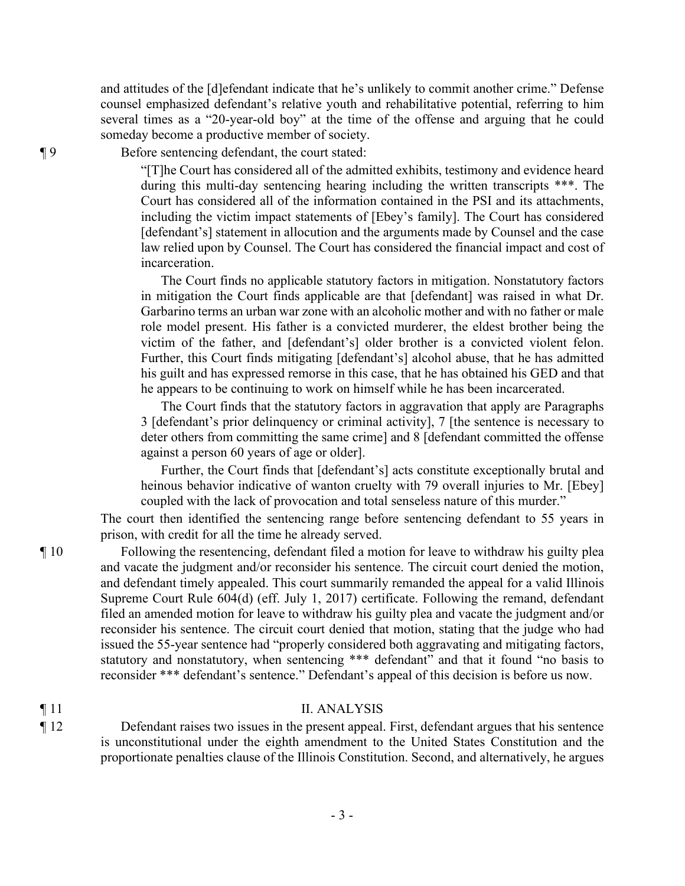and attitudes of the [d]efendant indicate that he's unlikely to commit another crime." Defense counsel emphasized defendant's relative youth and rehabilitative potential, referring to him several times as a "20-year-old boy" at the time of the offense and arguing that he could someday become a productive member of society.

¶ 9 Before sentencing defendant, the court stated:

"[T]he Court has considered all of the admitted exhibits, testimony and evidence heard during this multi-day sentencing hearing including the written transcripts \*\*\*. The Court has considered all of the information contained in the PSI and its attachments, including the victim impact statements of [Ebey's family]. The Court has considered [defendant's] statement in allocution and the arguments made by Counsel and the case law relied upon by Counsel. The Court has considered the financial impact and cost of incarceration.

The Court finds no applicable statutory factors in mitigation. Nonstatutory factors in mitigation the Court finds applicable are that [defendant] was raised in what Dr. Garbarino terms an urban war zone with an alcoholic mother and with no father or male role model present. His father is a convicted murderer, the eldest brother being the victim of the father, and [defendant's] older brother is a convicted violent felon. Further, this Court finds mitigating [defendant's] alcohol abuse, that he has admitted his guilt and has expressed remorse in this case, that he has obtained his GED and that he appears to be continuing to work on himself while he has been incarcerated.

The Court finds that the statutory factors in aggravation that apply are Paragraphs 3 [defendant's prior delinquency or criminal activity], 7 [the sentence is necessary to deter others from committing the same crime] and 8 [defendant committed the offense against a person 60 years of age or older].

Further, the Court finds that [defendant's] acts constitute exceptionally brutal and heinous behavior indicative of wanton cruelty with 79 overall injuries to Mr. [Ebey] coupled with the lack of provocation and total senseless nature of this murder."

The court then identified the sentencing range before sentencing defendant to 55 years in prison, with credit for all the time he already served.

¶ 10 Following the resentencing, defendant filed a motion for leave to withdraw his guilty plea and vacate the judgment and/or reconsider his sentence. The circuit court denied the motion, and defendant timely appealed. This court summarily remanded the appeal for a valid Illinois Supreme Court Rule 604(d) (eff. July 1, 2017) certificate. Following the remand, defendant filed an amended motion for leave to withdraw his guilty plea and vacate the judgment and/or reconsider his sentence. The circuit court denied that motion, stating that the judge who had issued the 55-year sentence had "properly considered both aggravating and mitigating factors, statutory and nonstatutory, when sentencing \*\*\* defendant" and that it found "no basis to reconsider \*\*\* defendant's sentence." Defendant's appeal of this decision is before us now.

# ¶ 11 II. ANALYSIS

¶ 12 Defendant raises two issues in the present appeal. First, defendant argues that his sentence is unconstitutional under the eighth amendment to the United States Constitution and the proportionate penalties clause of the Illinois Constitution. Second, and alternatively, he argues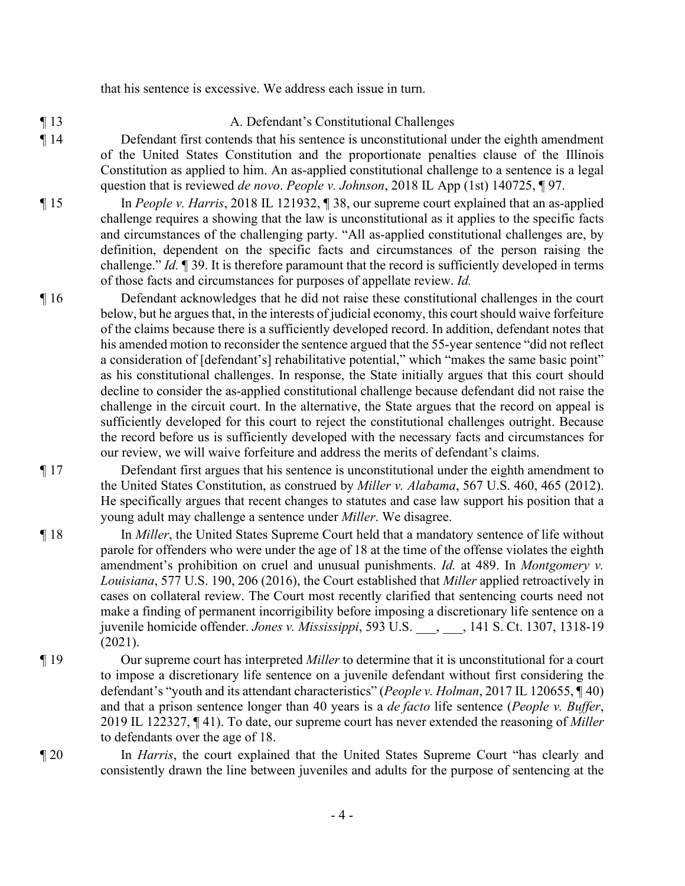that his sentence is excessive. We address each issue in turn.

# ¶ 13 A. Defendant's Constitutional Challenges

- ¶ 14 Defendant first contends that his sentence is unconstitutional under the eighth amendment of the United States Constitution and the proportionate penalties clause of the Illinois Constitution as applied to him. An as-applied constitutional challenge to a sentence is a legal question that is reviewed *de novo*. *People v. Johnson*, 2018 IL App (1st) 140725, ¶ 97.
- ¶ 15 In *People v. Harris*, 2018 IL 121932, ¶ 38, our supreme court explained that an as-applied challenge requires a showing that the law is unconstitutional as it applies to the specific facts and circumstances of the challenging party. "All as-applied constitutional challenges are, by definition, dependent on the specific facts and circumstances of the person raising the challenge." *Id.* ¶ 39. It is therefore paramount that the record is sufficiently developed in terms of those facts and circumstances for purposes of appellate review. *Id.*
- ¶ 16 Defendant acknowledges that he did not raise these constitutional challenges in the court below, but he argues that, in the interests of judicial economy, this court should waive forfeiture of the claims because there is a sufficiently developed record. In addition, defendant notes that his amended motion to reconsider the sentence argued that the 55-year sentence "did not reflect a consideration of [defendant's] rehabilitative potential," which "makes the same basic point" as his constitutional challenges. In response, the State initially argues that this court should decline to consider the as-applied constitutional challenge because defendant did not raise the challenge in the circuit court. In the alternative, the State argues that the record on appeal is sufficiently developed for this court to reject the constitutional challenges outright. Because the record before us is sufficiently developed with the necessary facts and circumstances for our review, we will waive forfeiture and address the merits of defendant's claims.
- ¶ 17 Defendant first argues that his sentence is unconstitutional under the eighth amendment to the United States Constitution, as construed by *Miller v. Alabama*, 567 U.S. 460, 465 (2012). He specifically argues that recent changes to statutes and case law support his position that a young adult may challenge a sentence under *Miller*. We disagree.
- ¶ 18 In *Miller*, the United States Supreme Court held that a mandatory sentence of life without parole for offenders who were under the age of 18 at the time of the offense violates the eighth amendment's prohibition on cruel and unusual punishments. *Id.* at 489. In *Montgomery v. Louisiana*, 577 U.S. 190, 206 (2016), the Court established that *Miller* applied retroactively in cases on collateral review. The Court most recently clarified that sentencing courts need not make a finding of permanent incorrigibility before imposing a discretionary life sentence on a juvenile homicide offender. *Jones v. Mississippi*, 593 U.S. \_\_\_, \_\_\_, 141 S. Ct. 1307, 1318-19 (2021).
- ¶ 19 Our supreme court has interpreted *Miller* to determine that it is unconstitutional for a court to impose a discretionary life sentence on a juvenile defendant without first considering the defendant's "youth and its attendant characteristics" (*People v. Holman*, 2017 IL 120655, ¶ 40) and that a prison sentence longer than 40 years is a *de facto* life sentence (*People v. Buffer*, 2019 IL 122327, ¶ 41). To date, our supreme court has never extended the reasoning of *Miller* to defendants over the age of 18.
- 

¶ 20 In *Harris*, the court explained that the United States Supreme Court "has clearly and consistently drawn the line between juveniles and adults for the purpose of sentencing at the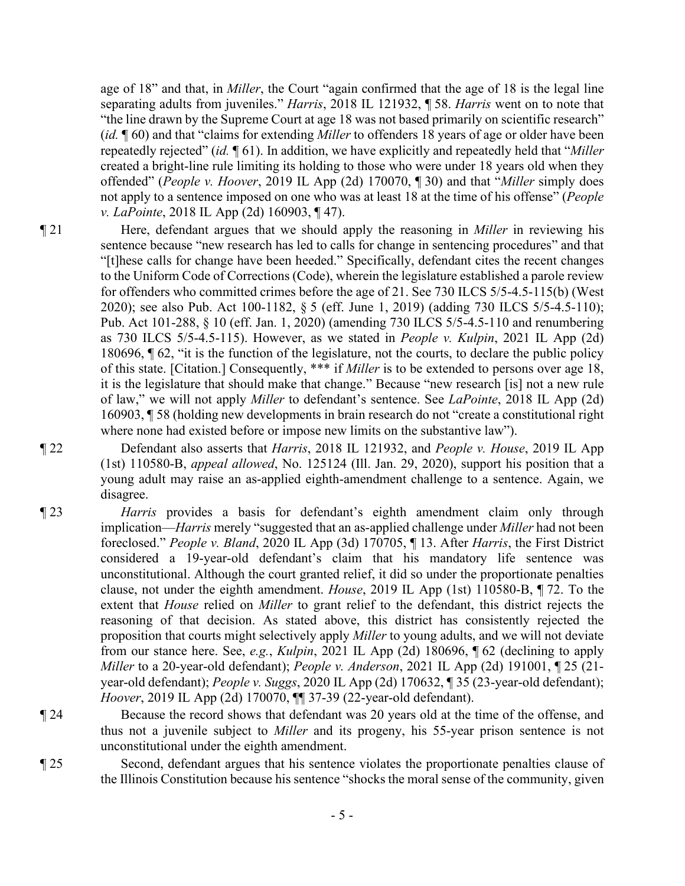age of 18" and that, in *Miller*, the Court "again confirmed that the age of 18 is the legal line separating adults from juveniles." *Harris*, 2018 IL 121932, ¶ 58. *Harris* went on to note that "the line drawn by the Supreme Court at age 18 was not based primarily on scientific research" (*id.* ¶ 60) and that "claims for extending *Miller* to offenders 18 years of age or older have been repeatedly rejected" (*id.* ¶ 61). In addition, we have explicitly and repeatedly held that "*Miller* created a bright-line rule limiting its holding to those who were under 18 years old when they offended" (*People v. Hoover*, 2019 IL App (2d) 170070, ¶ 30) and that "*Miller* simply does not apply to a sentence imposed on one who was at least 18 at the time of his offense" (*People v. LaPointe*, 2018 IL App (2d) 160903, ¶ 47).

¶ 21 Here, defendant argues that we should apply the reasoning in *Miller* in reviewing his sentence because "new research has led to calls for change in sentencing procedures" and that "[t]hese calls for change have been heeded." Specifically, defendant cites the recent changes to the Uniform Code of Corrections (Code), wherein the legislature established a parole review for offenders who committed crimes before the age of 21. See 730 ILCS 5/5-4.5-115(b) (West 2020); see also Pub. Act 100-1182, § 5 (eff. June 1, 2019) (adding 730 ILCS 5/5-4.5-110); Pub. Act 101-288, § 10 (eff. Jan. 1, 2020) (amending 730 ILCS 5/5-4.5-110 and renumbering as 730 ILCS 5/5-4.5-115). However, as we stated in *People v. Kulpin*, 2021 IL App (2d) 180696, ¶ 62, "it is the function of the legislature, not the courts, to declare the public policy of this state. [Citation.] Consequently, \*\*\* if *Miller* is to be extended to persons over age 18, it is the legislature that should make that change." Because "new research [is] not a new rule of law," we will not apply *Miller* to defendant's sentence. See *LaPointe*, 2018 IL App (2d) 160903, ¶ 58 (holding new developments in brain research do not "create a constitutional right where none had existed before or impose new limits on the substantive law").

¶ 22 Defendant also asserts that *Harris*, 2018 IL 121932, and *People v. House*, 2019 IL App (1st) 110580-B, *appeal allowed*, No. 125124 (Ill. Jan. 29, 2020), support his position that a young adult may raise an as-applied eighth-amendment challenge to a sentence. Again, we disagree.

- ¶ 23 *Harris* provides a basis for defendant's eighth amendment claim only through implication—*Harris* merely "suggested that an as-applied challenge under *Miller* had not been foreclosed." *People v. Bland*, 2020 IL App (3d) 170705, ¶ 13. After *Harris*, the First District considered a 19-year-old defendant's claim that his mandatory life sentence was unconstitutional. Although the court granted relief, it did so under the proportionate penalties clause, not under the eighth amendment. *House*, 2019 IL App (1st) 110580-B, ¶ 72. To the extent that *House* relied on *Miller* to grant relief to the defendant, this district rejects the reasoning of that decision. As stated above, this district has consistently rejected the proposition that courts might selectively apply *Miller* to young adults, and we will not deviate from our stance here. See, *e.g.*, *Kulpin*, 2021 IL App (2d) 180696, ¶ 62 (declining to apply *Miller* to a 20-year-old defendant); *People v. Anderson*, 2021 IL App (2d) 191001, ¶ 25 (21 year-old defendant); *People v. Suggs*, 2020 IL App (2d) 170632, ¶ 35 (23-year-old defendant); *Hoover*, 2019 IL App (2d) 170070, ¶¶ 37-39 (22-year-old defendant).
- ¶ 24 Because the record shows that defendant was 20 years old at the time of the offense, and thus not a juvenile subject to *Miller* and its progeny, his 55-year prison sentence is not unconstitutional under the eighth amendment.
- ¶ 25 Second, defendant argues that his sentence violates the proportionate penalties clause of the Illinois Constitution because his sentence "shocks the moral sense of the community, given
	- 5 -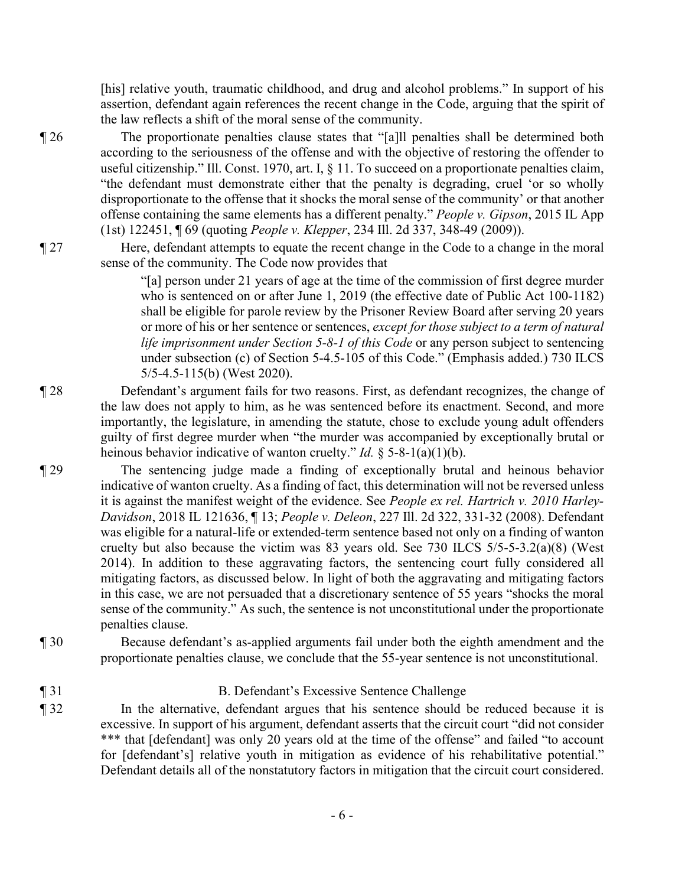[his] relative youth, traumatic childhood, and drug and alcohol problems." In support of his assertion, defendant again references the recent change in the Code, arguing that the spirit of the law reflects a shift of the moral sense of the community.

¶ 26 The proportionate penalties clause states that "[a]ll penalties shall be determined both according to the seriousness of the offense and with the objective of restoring the offender to useful citizenship." Ill. Const. 1970, art. I, § 11. To succeed on a proportionate penalties claim, "the defendant must demonstrate either that the penalty is degrading, cruel 'or so wholly disproportionate to the offense that it shocks the moral sense of the community' or that another offense containing the same elements has a different penalty." *People v. Gipson*, 2015 IL App (1st) 122451, ¶ 69 (quoting *People v. Klepper*, 234 Ill. 2d 337, 348-49 (2009)).

¶ 27 Here, defendant attempts to equate the recent change in the Code to a change in the moral sense of the community. The Code now provides that

> "[a] person under 21 years of age at the time of the commission of first degree murder who is sentenced on or after June 1, 2019 (the effective date of Public Act 100-1182) shall be eligible for parole review by the Prisoner Review Board after serving 20 years or more of his or her sentence or sentences, *except for those subject to a term of natural life imprisonment under Section 5-8-1 of this Code* or any person subject to sentencing under subsection (c) of Section 5-4.5-105 of this Code." (Emphasis added.) 730 ILCS 5/5-4.5-115(b) (West 2020).

- ¶ 28 Defendant's argument fails for two reasons. First, as defendant recognizes, the change of the law does not apply to him, as he was sentenced before its enactment. Second, and more importantly, the legislature, in amending the statute, chose to exclude young adult offenders guilty of first degree murder when "the murder was accompanied by exceptionally brutal or heinous behavior indicative of wanton cruelty." *Id.* § 5-8-1(a)(1)(b).
- ¶ 29 The sentencing judge made a finding of exceptionally brutal and heinous behavior indicative of wanton cruelty. As a finding of fact, this determination will not be reversed unless it is against the manifest weight of the evidence. See *People ex rel. Hartrich v. 2010 Harley-Davidson*, 2018 IL 121636, ¶ 13; *People v. Deleon*, 227 Ill. 2d 322, 331-32 (2008). Defendant was eligible for a natural-life or extended-term sentence based not only on a finding of wanton cruelty but also because the victim was 83 years old. See 730 ILCS 5/5-5-3.2(a)(8) (West 2014). In addition to these aggravating factors, the sentencing court fully considered all mitigating factors, as discussed below. In light of both the aggravating and mitigating factors in this case, we are not persuaded that a discretionary sentence of 55 years "shocks the moral sense of the community." As such, the sentence is not unconstitutional under the proportionate penalties clause.
- ¶ 30 Because defendant's as-applied arguments fail under both the eighth amendment and the proportionate penalties clause, we conclude that the 55-year sentence is not unconstitutional.
- ¶ 31 B. Defendant's Excessive Sentence Challenge
- ¶ 32 In the alternative, defendant argues that his sentence should be reduced because it is excessive. In support of his argument, defendant asserts that the circuit court "did not consider \*\*\* that [defendant] was only 20 years old at the time of the offense" and failed "to account for [defendant's] relative youth in mitigation as evidence of his rehabilitative potential." Defendant details all of the nonstatutory factors in mitigation that the circuit court considered.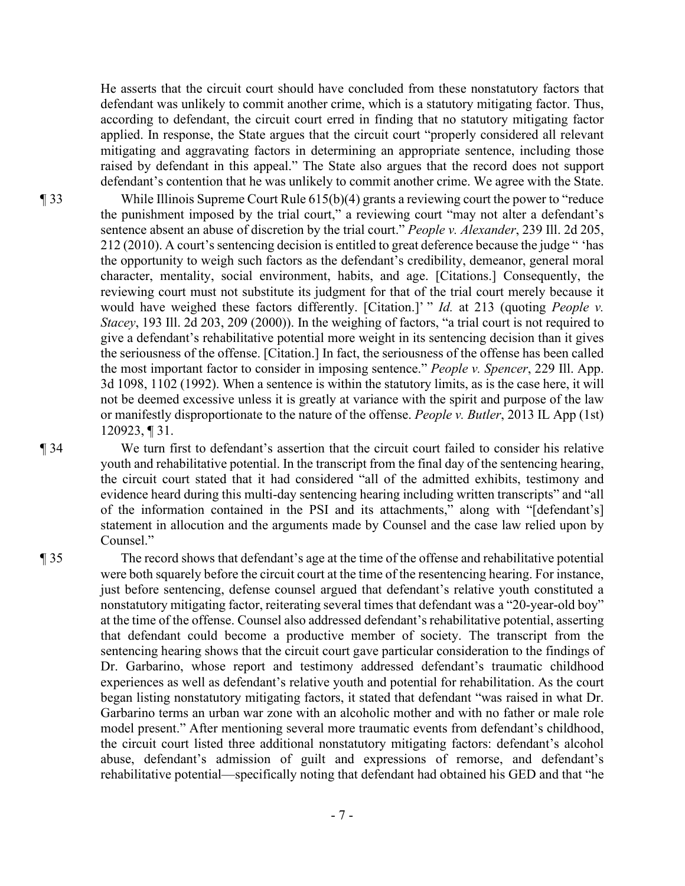He asserts that the circuit court should have concluded from these nonstatutory factors that defendant was unlikely to commit another crime, which is a statutory mitigating factor. Thus, according to defendant, the circuit court erred in finding that no statutory mitigating factor applied. In response, the State argues that the circuit court "properly considered all relevant mitigating and aggravating factors in determining an appropriate sentence, including those raised by defendant in this appeal." The State also argues that the record does not support defendant's contention that he was unlikely to commit another crime. We agree with the State.

¶ 33 While Illinois Supreme Court Rule 615(b)(4) grants a reviewing court the power to "reduce the punishment imposed by the trial court," a reviewing court "may not alter a defendant's sentence absent an abuse of discretion by the trial court." *People v. Alexander*, 239 Ill. 2d 205, 212 (2010). A court's sentencing decision is entitled to great deference because the judge " 'has the opportunity to weigh such factors as the defendant's credibility, demeanor, general moral character, mentality, social environment, habits, and age. [Citations.] Consequently, the reviewing court must not substitute its judgment for that of the trial court merely because it would have weighed these factors differently. [Citation.]' " *Id.* at 213 (quoting *People v. Stacey*, 193 Ill. 2d 203, 209 (2000)). In the weighing of factors, "a trial court is not required to give a defendant's rehabilitative potential more weight in its sentencing decision than it gives the seriousness of the offense. [Citation.] In fact, the seriousness of the offense has been called the most important factor to consider in imposing sentence." *People v. Spencer*, 229 Ill. App. 3d 1098, 1102 (1992). When a sentence is within the statutory limits, as is the case here, it will not be deemed excessive unless it is greatly at variance with the spirit and purpose of the law or manifestly disproportionate to the nature of the offense. *People v. Butler*, 2013 IL App (1st) 120923, ¶ 31.

¶ 34 We turn first to defendant's assertion that the circuit court failed to consider his relative youth and rehabilitative potential. In the transcript from the final day of the sentencing hearing, the circuit court stated that it had considered "all of the admitted exhibits, testimony and evidence heard during this multi-day sentencing hearing including written transcripts" and "all of the information contained in the PSI and its attachments," along with "[defendant's] statement in allocution and the arguments made by Counsel and the case law relied upon by Counsel."

¶ 35 The record shows that defendant's age at the time of the offense and rehabilitative potential were both squarely before the circuit court at the time of the resentencing hearing. For instance, just before sentencing, defense counsel argued that defendant's relative youth constituted a nonstatutory mitigating factor, reiterating several times that defendant was a "20-year-old boy" at the time of the offense. Counsel also addressed defendant's rehabilitative potential, asserting that defendant could become a productive member of society. The transcript from the sentencing hearing shows that the circuit court gave particular consideration to the findings of Dr. Garbarino, whose report and testimony addressed defendant's traumatic childhood experiences as well as defendant's relative youth and potential for rehabilitation. As the court began listing nonstatutory mitigating factors, it stated that defendant "was raised in what Dr. Garbarino terms an urban war zone with an alcoholic mother and with no father or male role model present." After mentioning several more traumatic events from defendant's childhood, the circuit court listed three additional nonstatutory mitigating factors: defendant's alcohol abuse, defendant's admission of guilt and expressions of remorse, and defendant's rehabilitative potential—specifically noting that defendant had obtained his GED and that "he